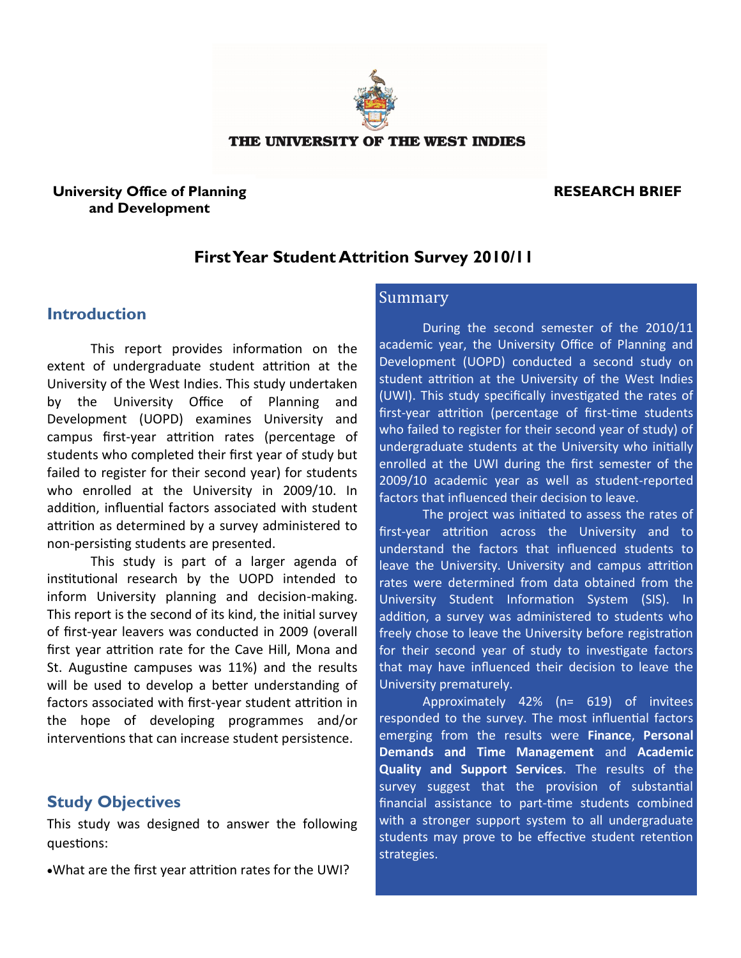

#### THE UNIVERSITY OF THE WEST INDIES

### **University Office of Planning and Development**

# **RESEARCH BRIEF**

# **First Year Student Attrition Survey 2010/11**

# **Introduction**

This report provides information on the extent of undergraduate student attrition at the University of the West Indies. This study undertaken by the University Office of Planning and Development (UOPD) examines University and campus first-year attrition rates (percentage of students who completed their first year of study but failed to register for their second year) for students who enrolled at the University in 2009/10. In addition, influential factors associated with student attrition as determined by a survey administered to non-persisting students are presented.

This study is part of a larger agenda of institutional research by the UOPD intended to inform University planning and decision-making. This report is the second of its kind, the initial survey of first-year leavers was conducted in 2009 (overall first year attrition rate for the Cave Hill, Mona and St. Augustine campuses was 11%) and the results will be used to develop a better understanding of factors associated with first-year student attrition in the hope of developing programmes and/or interventions that can increase student persistence.

## **Study Objectives**

This study was designed to answer the following questions:

What are the first year attrition rates for the UWI?

# Summary

During the second semester of the 2010/11 academic year, the University Office of Planning and Development (UOPD) conducted a second study on student attrition at the University of the West Indies (UWI). This study specifically investigated the rates of first-year attrition (percentage of first-time students who failed to register for their second year of study) of undergraduate students at the University who initially enrolled at the UWI during the first semester of the 2009/10 academic year as well as student-reported factors that influenced their decision to leave.

The project was initiated to assess the rates of first-year attrition across the University and to understand the factors that influenced students to leave the University. University and campus attrition rates were determined from data obtained from the University Student Information System (SIS). In addition, a survey was administered to students who freely chose to leave the University before registration for their second year of study to investigate factors that may have influenced their decision to leave the University prematurely.

Approximately 42% (n= 619) of invitees responded to the survey. The most influential factors emerging from the results were **Finance**, **Personal Demands and Time Management** and **Academic Quality and Support Services**. The results of the survey suggest that the provision of substantial financial assistance to part-time students combined with a stronger support system to all undergraduate students may prove to be effective student retention strategies.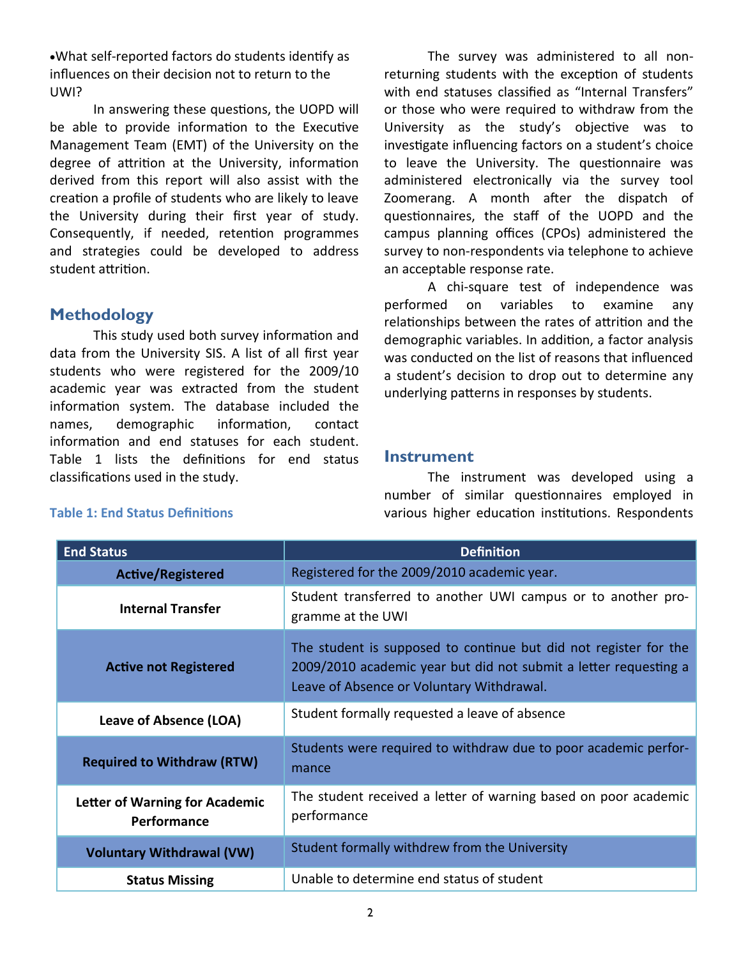What self-reported factors do students identify as influences on their decision not to return to the UWI?

In answering these questions, the UOPD will be able to provide information to the Executive Management Team (EMT) of the University on the degree of attrition at the University, information derived from this report will also assist with the creation a profile of students who are likely to leave the University during their first year of study. Consequently, if needed, retention programmes and strategies could be developed to address student attrition.

# **Methodology**

This study used both survey information and data from the University SIS. A list of all first year students who were registered for the 2009/10 academic year was extracted from the student information system. The database included the names, demographic information, contact information and end statuses for each student. Table 1 lists the definitions for end status classifications used in the study.

The survey was administered to all nonreturning students with the exception of students with end statuses classified as "Internal Transfers" or those who were required to withdraw from the University as the study's objective was to investigate influencing factors on a student's choice to leave the University. The questionnaire was administered electronically via the survey tool Zoomerang. A month after the dispatch of questionnaires, the staff of the UOPD and the campus planning offices (CPOs) administered the survey to non-respondents via telephone to achieve an acceptable response rate.

A chi-square test of independence was performed on variables to examine any relationships between the rates of attrition and the demographic variables. In addition, a factor analysis was conducted on the list of reasons that influenced a student's decision to drop out to determine any underlying patterns in responses by students.

### **Instrument**

The instrument was developed using a number of similar questionnaires employed in various higher education institutions. Respondents

| <b>End Status</b>                             | <b>Definition</b>                                                                                                                                                                 |
|-----------------------------------------------|-----------------------------------------------------------------------------------------------------------------------------------------------------------------------------------|
| <b>Active/Registered</b>                      | Registered for the 2009/2010 academic year.                                                                                                                                       |
| <b>Internal Transfer</b>                      | Student transferred to another UWI campus or to another pro-<br>gramme at the UWI                                                                                                 |
| <b>Active not Registered</b>                  | The student is supposed to continue but did not register for the<br>2009/2010 academic year but did not submit a letter requesting a<br>Leave of Absence or Voluntary Withdrawal. |
| Leave of Absence (LOA)                        | Student formally requested a leave of absence                                                                                                                                     |
| <b>Required to Withdraw (RTW)</b>             | Students were required to withdraw due to poor academic perfor-<br>mance                                                                                                          |
| Letter of Warning for Academic<br>Performance | The student received a letter of warning based on poor academic<br>performance                                                                                                    |
| <b>Voluntary Withdrawal (VW)</b>              | Student formally withdrew from the University                                                                                                                                     |
| <b>Status Missing</b>                         | Unable to determine end status of student                                                                                                                                         |

### **Table 1: End Status Definitions**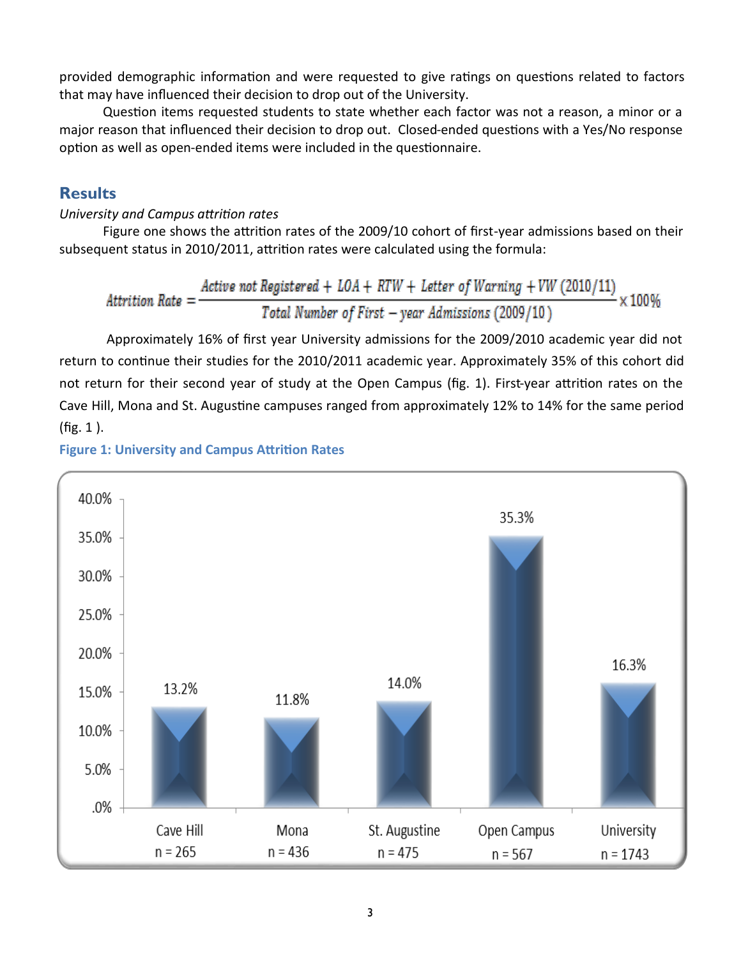provided demographic information and were requested to give ratings on questions related to factors that may have influenced their decision to drop out of the University.

Question items requested students to state whether each factor was not a reason, a minor or a major reason that influenced their decision to drop out. Closed-ended questions with a Yes/No response option as well as open-ended items were included in the questionnaire.

# **Results**

### *University and Campus attrition rates*

Figure one shows the attrition rates of the 2009/10 cohort of first-year admissions based on their subsequent status in 2010/2011, attrition rates were calculated using the formula:

$$
Attention Rate = \frac{Active not Registered + LOA + RTW + Letter of Warning + VW (2010/11)}{Total Number of First - year Admissions (2009/10)} \times 100\%
$$

Approximately 16% of first year University admissions for the 2009/2010 academic year did not return to continue their studies for the 2010/2011 academic year. Approximately 35% of this cohort did not return for their second year of study at the Open Campus (fig. 1). First-year attrition rates on the Cave Hill, Mona and St. Augustine campuses ranged from approximately 12% to 14% for the same period (fig. 1 ).



## **Figure 1: University and Campus Attrition Rates**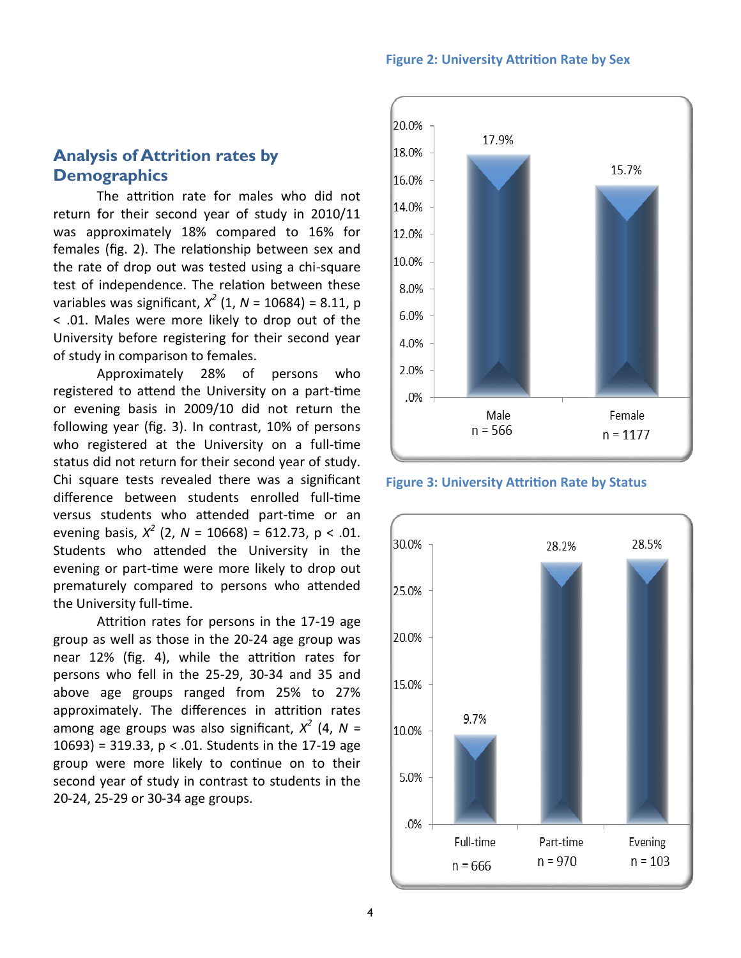#### **Figure 2: University Attrition Rate by Sex**

# **Analysis of Attrition rates by Demographics**

The attrition rate for males who did not return for their second year of study in 2010/11 was approximately 18% compared to 16% for females (fig. 2). The relationship between sex and the rate of drop out was tested using a chi-square test of independence. The relation between these variables was significant, *X 2* (1, *N* = 10684) = 8.11, p < .01. Males were more likely to drop out of the University before registering for their second year of study in comparison to females.

Approximately 28% of persons who registered to attend the University on a part-time or evening basis in 2009/10 did not return the following year (fig. 3). In contrast, 10% of persons who registered at the University on a full-time status did not return for their second year of study. Chi square tests revealed there was a significant difference between students enrolled full-time versus students who attended part-time or an evening basis,  $X^2$  (2,  $N = 10668$ ) = 612.73, p < .01. Students who attended the University in the evening or part-time were more likely to drop out prematurely compared to persons who attended the University full-time.

Attrition rates for persons in the 17-19 age group as well as those in the 20-24 age group was near 12% (fig. 4), while the attrition rates for persons who fell in the 25-29, 30-34 and 35 and above age groups ranged from 25% to 27% approximately. The differences in attrition rates among age groups was also significant, *X 2* (4, *N* = 10693) = 319.33,  $p < .01$ . Students in the 17-19 age group were more likely to continue on to their second year of study in contrast to students in the 20-24, 25-29 or 30-34 age groups.



**Figure 3: University Attrition Rate by Status**

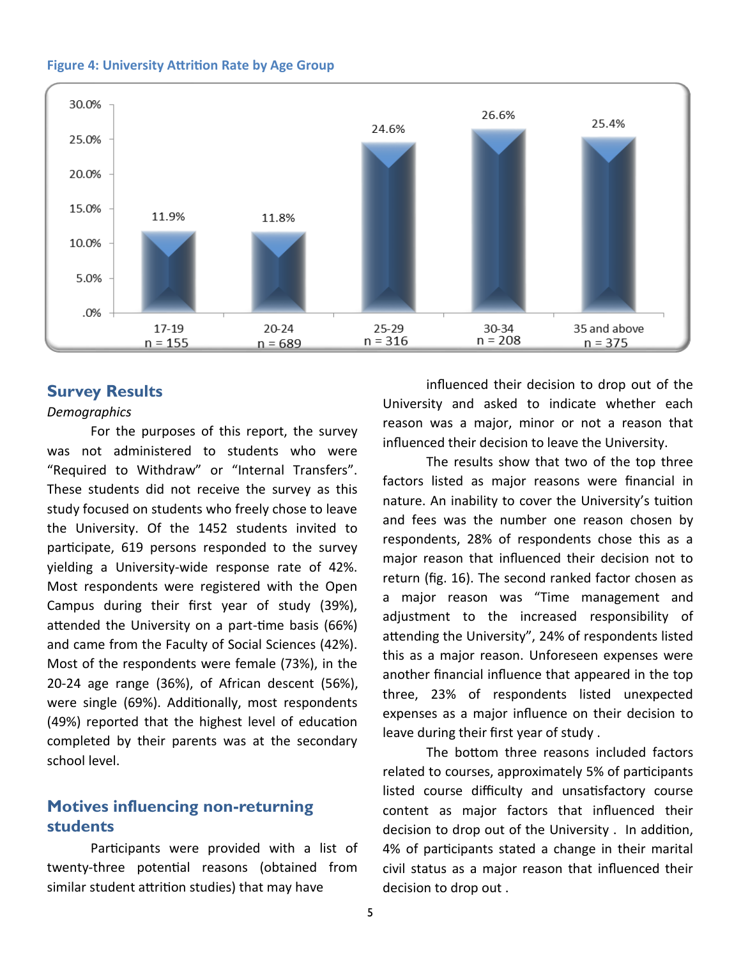



### **Survey Results**

### *Demographics*

For the purposes of this report, the survey was not administered to students who were "Required to Withdraw" or "Internal Transfers". These students did not receive the survey as this study focused on students who freely chose to leave the University. Of the 1452 students invited to participate, 619 persons responded to the survey yielding a University-wide response rate of 42%. Most respondents were registered with the Open Campus during their first year of study (39%), attended the University on a part-time basis (66%) and came from the Faculty of Social Sciences (42%). Most of the respondents were female (73%), in the 20-24 age range (36%), of African descent (56%), were single (69%). Additionally, most respondents (49%) reported that the highest level of education completed by their parents was at the secondary school level.

# **Motives influencing non-returning students**

Participants were provided with a list of twenty-three potential reasons (obtained from similar student attrition studies) that may have

influenced their decision to drop out of the University and asked to indicate whether each reason was a major, minor or not a reason that influenced their decision to leave the University.

The results show that two of the top three factors listed as major reasons were financial in nature. An inability to cover the University's tuition and fees was the number one reason chosen by respondents, 28% of respondents chose this as a major reason that influenced their decision not to return (fig. 16). The second ranked factor chosen as a major reason was "Time management and adjustment to the increased responsibility of attending the University", 24% of respondents listed this as a major reason. Unforeseen expenses were another financial influence that appeared in the top three, 23% of respondents listed unexpected expenses as a major influence on their decision to leave during their first year of study .

The bottom three reasons included factors related to courses, approximately 5% of participants listed course difficulty and unsatisfactory course content as major factors that influenced their decision to drop out of the University . In addition, 4% of participants stated a change in their marital civil status as a major reason that influenced their decision to drop out .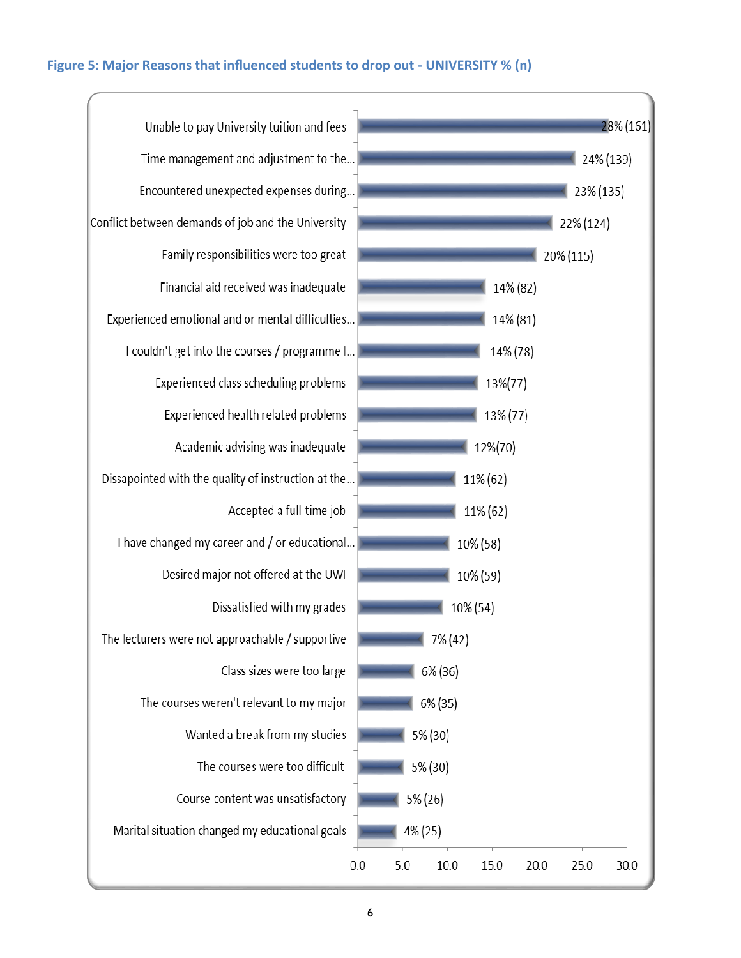### **Figure 5: Major Reasons that influenced students to drop out - UNIVERSITY % (n)**

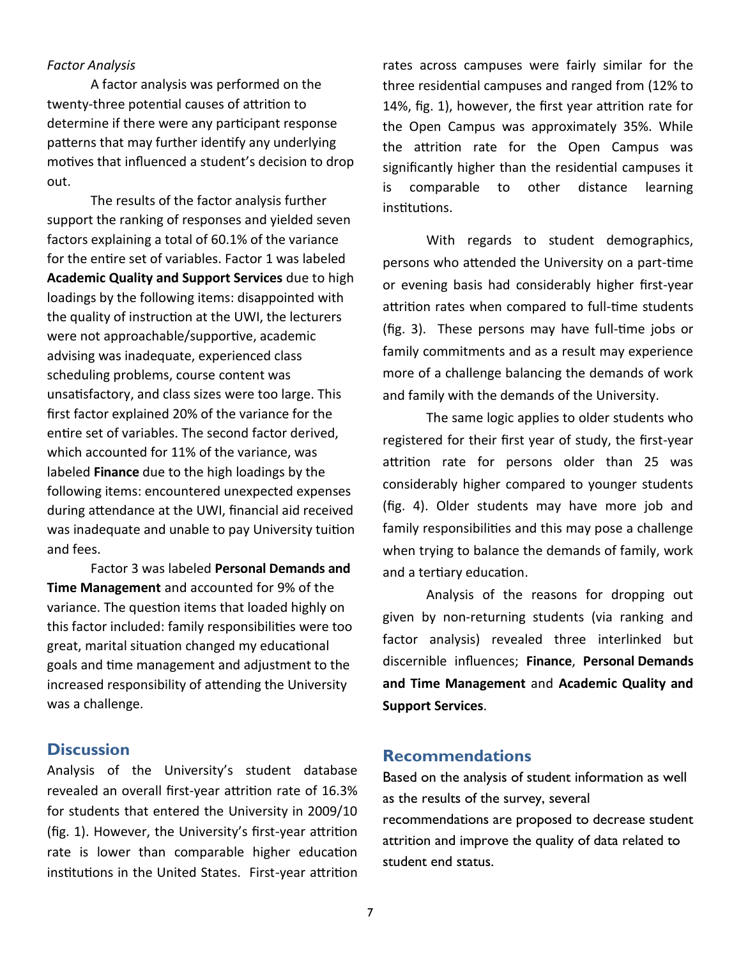#### *Factor Analysis*

A factor analysis was performed on the twenty-three potential causes of attrition to determine if there were any participant response patterns that may further identify any underlying motives that influenced a student's decision to drop out.

The results of the factor analysis further support the ranking of responses and yielded seven factors explaining a total of 60.1% of the variance for the entire set of variables. Factor 1 was labeled **Academic Quality and Support Services** due to high loadings by the following items: disappointed with the quality of instruction at the UWI, the lecturers were not approachable/supportive, academic advising was inadequate, experienced class scheduling problems, course content was unsatisfactory, and class sizes were too large. This first factor explained 20% of the variance for the entire set of variables. The second factor derived, which accounted for 11% of the variance, was labeled **Finance** due to the high loadings by the following items: encountered unexpected expenses during attendance at the UWI, financial aid received was inadequate and unable to pay University tuition and fees.

Factor 3 was labeled **Personal Demands and Time Management** and accounted for 9% of the variance. The question items that loaded highly on this factor included: family responsibilities were too great, marital situation changed my educational goals and time management and adjustment to the increased responsibility of attending the University was a challenge.

### **Discussion**

Analysis of the University's student database revealed an overall first-year attrition rate of 16.3% for students that entered the University in 2009/10 (fig. 1). However, the University's first-year attrition rate is lower than comparable higher education institutions in the United States. First-year attrition

rates across campuses were fairly similar for the three residential campuses and ranged from (12% to 14%, fig. 1), however, the first year attrition rate for the Open Campus was approximately 35%. While the attrition rate for the Open Campus was significantly higher than the residential campuses it is comparable to other distance learning institutions.

With regards to student demographics, persons who attended the University on a part-time or evening basis had considerably higher first-year attrition rates when compared to full-time students (fig. 3). These persons may have full-time jobs or family commitments and as a result may experience more of a challenge balancing the demands of work and family with the demands of the University.

The same logic applies to older students who registered for their first year of study, the first-year attrition rate for persons older than 25 was considerably higher compared to younger students (fig. 4). Older students may have more job and family responsibilities and this may pose a challenge when trying to balance the demands of family, work and a tertiary education.

Analysis of the reasons for dropping out given by non-returning students (via ranking and factor analysis) revealed three interlinked but discernible influences; **Finance**, **Personal Demands and Time Management** and **Academic Quality and Support Services**.

### **Recommendations**

Based on the analysis of student information as well as the results of the survey, several recommendations are proposed to decrease student attrition and improve the quality of data related to student end status.